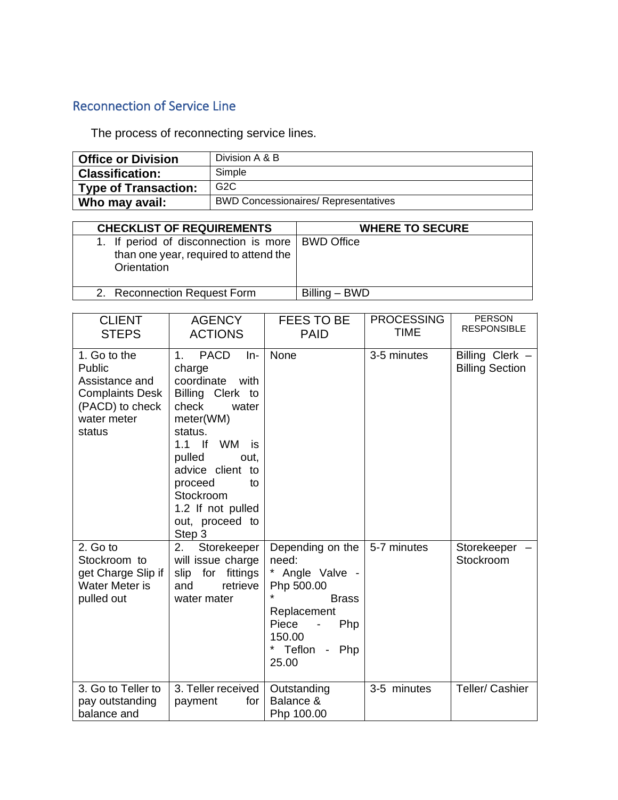## Reconnection of Service Line

The process of reconnecting service lines.

| <b>Office or Division</b> | Division A & B                              |
|---------------------------|---------------------------------------------|
| <b>Classification:</b>    | Simple                                      |
| Type of Transaction:      | G2C                                         |
| Who may avail:            | <b>BWD Concessionaires/ Representatives</b> |

| <b>CHECKLIST OF REQUIREMENTS</b>                                                                           | <b>WHERE TO SECURE</b> |  |  |
|------------------------------------------------------------------------------------------------------------|------------------------|--|--|
| 1. If period of disconnection is more   BWD Office<br>than one year, required to attend the<br>Orientation |                        |  |  |
| 2. Reconnection Request Form                                                                               | Billing – BWD          |  |  |

| <b>CLIENT</b><br><b>STEPS</b>                                                                                  | <b>AGENCY</b><br><b>ACTIONS</b>                                                                                                                                                                                                                                             | FEES TO BE<br><b>PAID</b>                                                                                                                       | <b>PROCESSING</b><br><b>TIME</b> | <b>PERSON</b><br><b>RESPONSIBLE</b>       |
|----------------------------------------------------------------------------------------------------------------|-----------------------------------------------------------------------------------------------------------------------------------------------------------------------------------------------------------------------------------------------------------------------------|-------------------------------------------------------------------------------------------------------------------------------------------------|----------------------------------|-------------------------------------------|
| 1. Go to the<br>Public<br>Assistance and<br><b>Complaints Desk</b><br>(PACD) to check<br>water meter<br>status | <b>PACD</b><br>$1_{-}$<br>$In-$<br>charge<br>coordinate<br>with<br>Billing Clerk to<br>check<br>water<br>meter(WM)<br>status.<br>$1.1$ If<br>WM<br>is<br>pulled<br>out.<br>advice client to<br>proceed<br>to<br>Stockroom<br>1.2 If not pulled<br>out, proceed to<br>Step 3 | None                                                                                                                                            | 3-5 minutes                      | Billing Clerk -<br><b>Billing Section</b> |
| 2. Go to<br>Stockroom to<br>get Charge Slip if<br>Water Meter is<br>pulled out                                 | 2.<br>Storekeeper<br>will issue charge<br>for fittings<br>slip<br>retrieve<br>and<br>water mater                                                                                                                                                                            | Depending on the<br>need:<br>* Angle Valve -<br>Php 500.00<br><b>Brass</b><br>Replacement<br>Piece<br>Php<br>150.00<br>Teflon -<br>Php<br>25.00 | 5-7 minutes                      | Storekeeper<br>Stockroom                  |
| 3. Go to Teller to<br>pay outstanding<br>balance and                                                           | 3. Teller received<br>for<br>payment                                                                                                                                                                                                                                        | Outstanding<br>Balance &<br>Php 100.00                                                                                                          | 3-5 minutes                      | Teller/ Cashier                           |